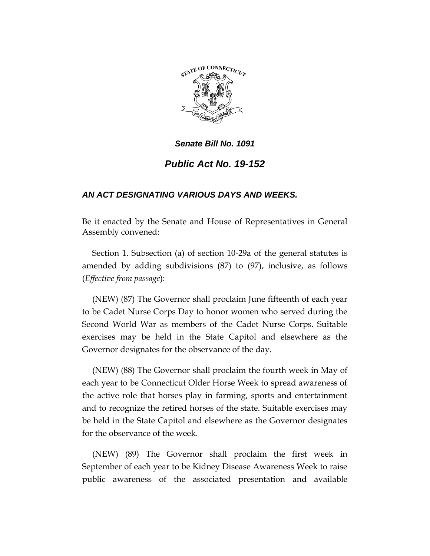

# *Public Act No. 19-152*

### *AN ACT DESIGNATING VARIOUS DAYS AND WEEKS.*

Be it enacted by the Senate and House of Representatives in General Assembly convened:

Section 1. Subsection (a) of section 10-29a of the general statutes is amended by adding subdivisions (87) to (97), inclusive, as follows (*Effective from passage*):

(NEW) (87) The Governor shall proclaim June fifteenth of each year to be Cadet Nurse Corps Day to honor women who served during the Second World War as members of the Cadet Nurse Corps. Suitable exercises may be held in the State Capitol and elsewhere as the Governor designates for the observance of the day.

(NEW) (88) The Governor shall proclaim the fourth week in May of each year to be Connecticut Older Horse Week to spread awareness of the active role that horses play in farming, sports and entertainment and to recognize the retired horses of the state. Suitable exercises may be held in the State Capitol and elsewhere as the Governor designates for the observance of the week.

(NEW) (89) The Governor shall proclaim the first week in September of each year to be Kidney Disease Awareness Week to raise public awareness of the associated presentation and available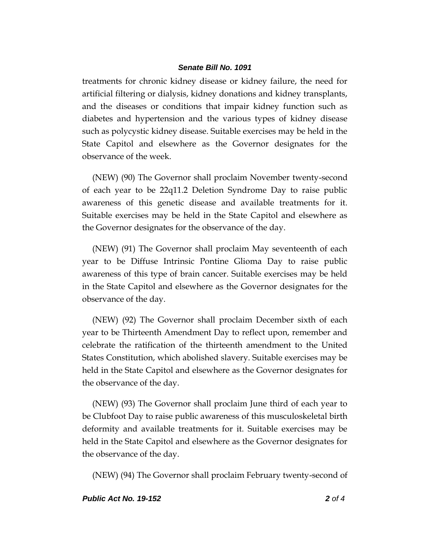treatments for chronic kidney disease or kidney failure, the need for artificial filtering or dialysis, kidney donations and kidney transplants, and the diseases or conditions that impair kidney function such as diabetes and hypertension and the various types of kidney disease such as polycystic kidney disease. Suitable exercises may be held in the State Capitol and elsewhere as the Governor designates for the observance of the week.

(NEW) (90) The Governor shall proclaim November twenty-second of each year to be 22q11.2 Deletion Syndrome Day to raise public awareness of this genetic disease and available treatments for it. Suitable exercises may be held in the State Capitol and elsewhere as the Governor designates for the observance of the day.

(NEW) (91) The Governor shall proclaim May seventeenth of each year to be Diffuse Intrinsic Pontine Glioma Day to raise public awareness of this type of brain cancer. Suitable exercises may be held in the State Capitol and elsewhere as the Governor designates for the observance of the day.

(NEW) (92) The Governor shall proclaim December sixth of each year to be Thirteenth Amendment Day to reflect upon, remember and celebrate the ratification of the thirteenth amendment to the United States Constitution, which abolished slavery. Suitable exercises may be held in the State Capitol and elsewhere as the Governor designates for the observance of the day.

(NEW) (93) The Governor shall proclaim June third of each year to be Clubfoot Day to raise public awareness of this musculoskeletal birth deformity and available treatments for it. Suitable exercises may be held in the State Capitol and elsewhere as the Governor designates for the observance of the day.

(NEW) (94) The Governor shall proclaim February twenty-second of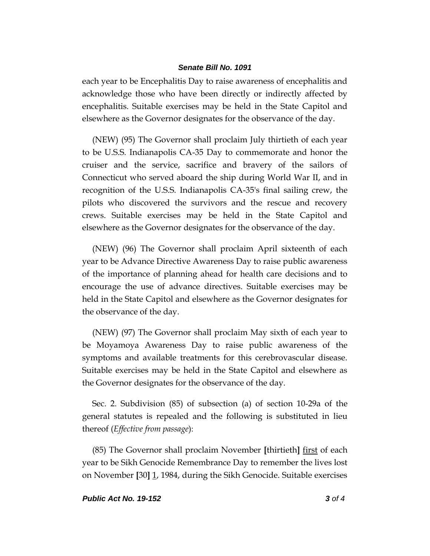each year to be Encephalitis Day to raise awareness of encephalitis and acknowledge those who have been directly or indirectly affected by encephalitis. Suitable exercises may be held in the State Capitol and elsewhere as the Governor designates for the observance of the day.

(NEW) (95) The Governor shall proclaim July thirtieth of each year to be U.S.S. Indianapolis CA-35 Day to commemorate and honor the cruiser and the service, sacrifice and bravery of the sailors of Connecticut who served aboard the ship during World War II, and in recognition of the U.S.S. Indianapolis CA-35's final sailing crew, the pilots who discovered the survivors and the rescue and recovery crews. Suitable exercises may be held in the State Capitol and elsewhere as the Governor designates for the observance of the day.

(NEW) (96) The Governor shall proclaim April sixteenth of each year to be Advance Directive Awareness Day to raise public awareness of the importance of planning ahead for health care decisions and to encourage the use of advance directives. Suitable exercises may be held in the State Capitol and elsewhere as the Governor designates for the observance of the day.

(NEW) (97) The Governor shall proclaim May sixth of each year to be Moyamoya Awareness Day to raise public awareness of the symptoms and available treatments for this cerebrovascular disease. Suitable exercises may be held in the State Capitol and elsewhere as the Governor designates for the observance of the day.

Sec. 2. Subdivision (85) of subsection (a) of section 10-29a of the general statutes is repealed and the following is substituted in lieu thereof (*Effective from passage*):

(85) The Governor shall proclaim November **[**thirtieth**]** first of each year to be Sikh Genocide Remembrance Day to remember the lives lost on November **[**30**]** 1, 1984, during the Sikh Genocide. Suitable exercises